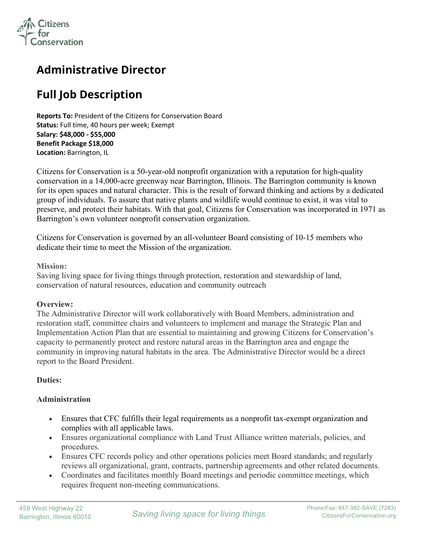

## **Administrative Director**

# **Full Job Description**

**Reports To:** President of the Citizens for Conservation Board **Status:** Full time, 40 hours per week; Exempt **Salary: \$48,000 - \$55,000 Benefit Package \$18,000 Location:** Barrington, IL

Citizens for Conservation is a 50-year-old nonprofit organization with a reputation for high-quality conservation in a 14,000-acre greenway near Barrington, Illinois. The Barrington community is known for its open spaces and natural character. This is the result of forward thinking and actions by a dedicated group of individuals. To assure that native plants and wildlife would continue to exist, it was vital to preserve, and protect their habitats. With that goal, Citizens for Conservation was incorporated in 1971 as Barrington's own volunteer nonprofit conservation organization.

Citizens for Conservation is governed by an all-volunteer Board consisting of 10-15 members who dedicate their time to meet the Mission of the organization.

**Mission:**

Saving living space for living things through protection, restoration and stewardship of land, conservation of natural resources, education and community outreach

#### **Overview:**

The Administrative Director will work collaboratively with Board Members, administration and restoration staff, committee chairs and volunteers to implement and manage the Strategic Plan and Implementation Action Plan that are essential to maintaining and growing Citizens for Conservation's capacity to permanently protect and restore natural areas in the Barrington area and engage the community in improving natural habitats in the area. The Administrative Director would be a direct report to the Board President.

## **Duties:**

## **Administration**

- Ensures that CFC fulfills their legal requirements as a nonprofit tax-exempt organization and complies with all applicable laws.
- Ensures organizational compliance with Land Trust Alliance written materials, policies, and procedures.
- Ensures CFC records policy and other operations policies meet Board standards; and regularly reviews all organizational, grant, contracts, partnership agreements and other related documents.
- Coordinates and facilitates monthly Board meetings and periodic committee meetings, which requires frequent non-meeting communications.

İ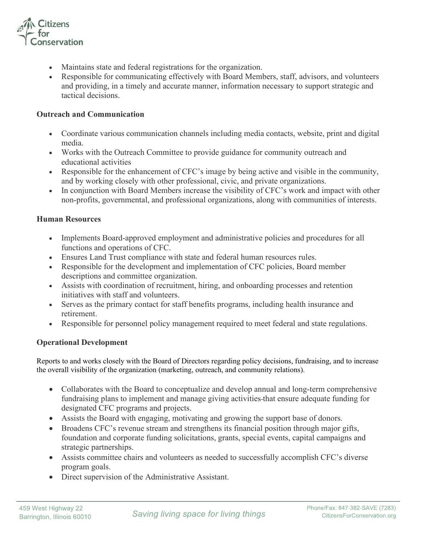

- Maintains state and federal registrations for the organization.
- Responsible for communicating effectively with Board Members, staff, advisors, and volunteers and providing, in a timely and accurate manner, information necessary to support strategic and tactical decisions.

#### **Outreach and Communication**

- Coordinate various communication channels including media contacts, website, print and digital media.
- Works with the Outreach Committee to provide guidance for community outreach and educational activities
- Responsible for the enhancement of CFC's image by being active and visible in the community, and by working closely with other professional, civic, and private organizations.
- In conjunction with Board Members increase the visibility of CFC's work and impact with other non-profits, governmental, and professional organizations, along with communities of interests.

#### **Human Resources**

- Implements Board-approved employment and administrative policies and procedures for all functions and operations of CFC.
- Ensures Land Trust compliance with state and federal human resources rules.
- Responsible for the development and implementation of CFC policies, Board member descriptions and committee organization.
- Assists with coordination of recruitment, hiring, and onboarding processes and retention initiatives with staff and volunteers.
- Serves as the primary contact for staff benefits programs, including health insurance and retirement.
- Responsible for personnel policy management required to meet federal and state regulations.

## **Operational Development**

Reports to and works closely with the Board of Directors regarding policy decisions, fundraising, and to increase the overall visibility of the organization (marketing, outreach, and community relations).

- Collaborates with the Board to conceptualize and develop annual and long-term comprehensive fundraising plans to implement and manage giving activities that ensure adequate funding for designated CFC programs and projects.
- Assists the Board with engaging, motivating and growing the support base of donors.
- Broadens CFC's revenue stream and strengthens its financial position through major gifts, foundation and corporate funding solicitations, grants, special events, capital campaigns and strategic partnerships.
- Assists committee chairs and volunteers as needed to successfully accomplish CFC's diverse program goals.
- Direct supervision of the Administrative Assistant.